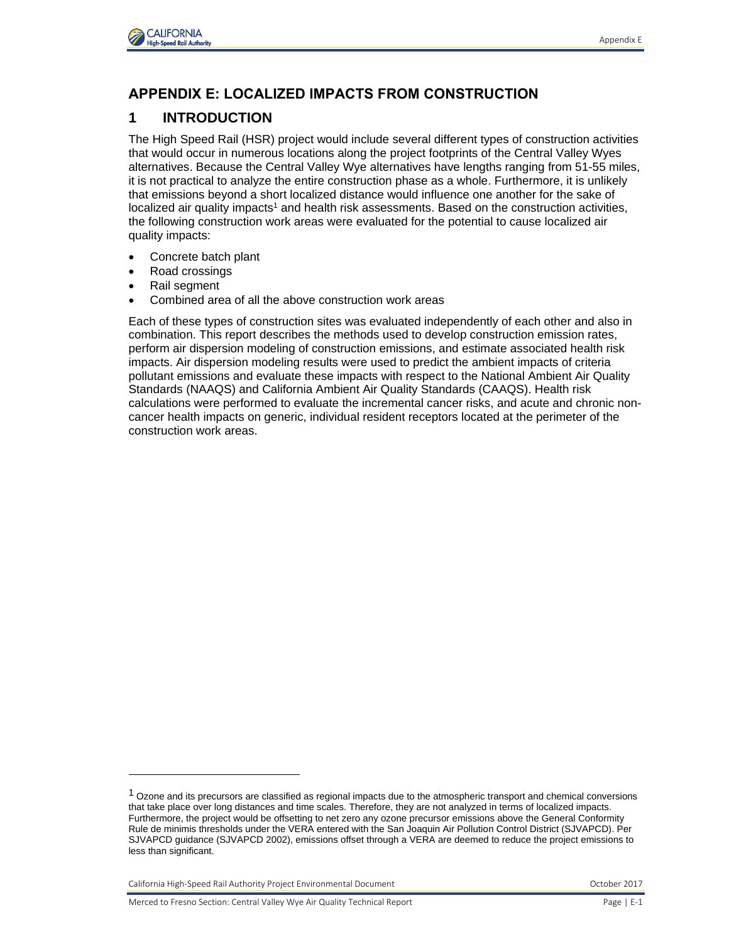

## **APPENDIX E: LOCALIZED IMPACTS FROM CONSTRUCTION**

# **1 INTRODUCTION**

The High Speed Rail (HSR) project would include several different types of construction activities that would occur in numerous locations along the project footprints of the Central Valley Wyes alternatives. Because the Central Valley Wye alternatives have lengths ranging from 51-55 miles, it is not practical to analyze the entire construction phase as a whole. Furthermore, it is unlikely that emissions beyond a short localized distance would influence one another for the sake of localized air quality impacts<sup>1</sup> and health risk assessments. Based on the construction activities, the following construction work areas were evaluated for the potential to cause localized air quality impacts:

- Concrete batch plant
- Road crossings
- Rail segment

l

Combined area of all the above construction work areas

Each of these types of construction sites was evaluated independently of each other and also in combination. This report describes the methods used to develop construction emission rates, perform air dispersion modeling of construction emissions, and estimate associated health risk impacts. Air dispersion modeling results were used to predict the ambient impacts of criteria pollutant emissions and evaluate these impacts with respect to the National Ambient Air Quality Standards (NAAQS) and California Ambient Air Quality Standards (CAAQS). Health risk calculations were performed to evaluate the incremental cancer risks, and acute and chronic noncancer health impacts on generic, individual resident receptors located at the perimeter of the construction work areas.

California High-Speed Rail Authority Project Environmental Document October 2017

 $1$  Ozone and its precursors are classified as regional impacts due to the atmospheric transport and chemical conversions that take place over long distances and time scales. Therefore, they are not analyzed in terms of localized impacts. Furthermore, the project would be offsetting to net zero any ozone precursor emissions above the General Conformity Rule de minimis thresholds under the VERA entered with the San Joaquin Air Pollution Control District (SJVAPCD). Per SJVAPCD guidance (SJVAPCD 2002), emissions offset through a VERA are deemed to reduce the project emissions to less than significant.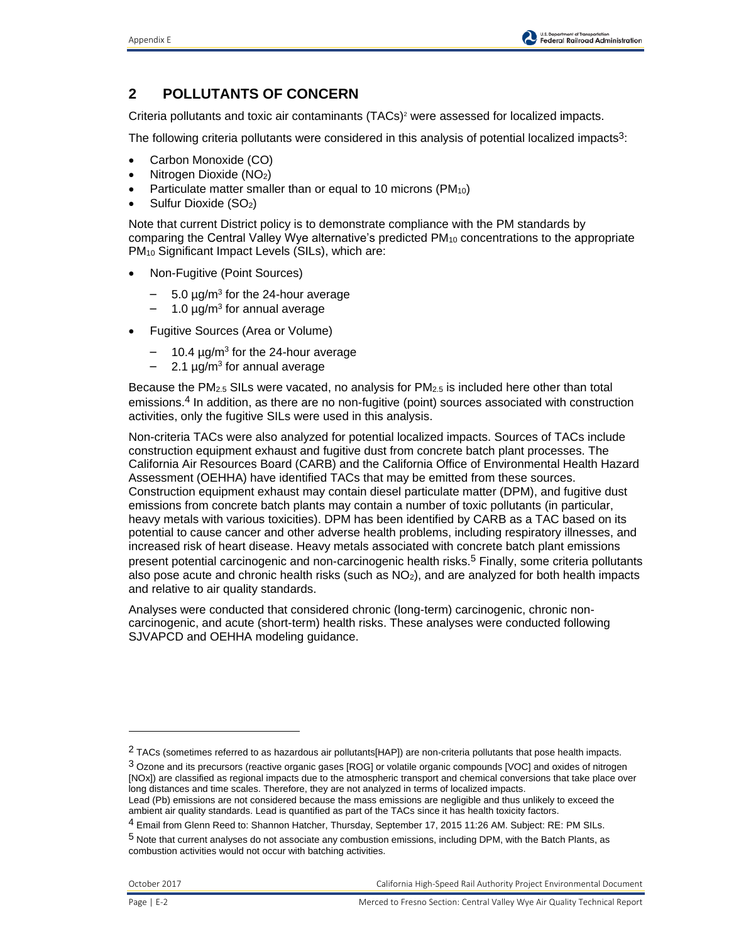# **2 POLLUTANTS OF CONCERN**

Criteria pollutants and toxic air contaminants (TACs)<sup>2</sup> were assessed for localized impacts.

The following criteria pollutants were considered in this analysis of potential localized impacts<sup>3</sup>:

- Carbon Monoxide (CO)
- Nitrogen Dioxide (NO2)
- Particulate matter smaller than or equal to 10 microns (PM<sub>10</sub>)
- Sulfur Dioxide (SO2)

Note that current District policy is to demonstrate compliance with the PM standards by comparing the Central Valley Wye alternative's predicted  $PM_{10}$  concentrations to the appropriate PM<sup>10</sup> Significant Impact Levels (SILs), which are:

- Non-Fugitive (Point Sources)
	- $-$  5.0  $\mu$ g/m<sup>3</sup> for the 24-hour average
	- 1.0 μg/m<sup>3</sup> for annual average
- Fugitive Sources (Area or Volume)
	- $-$  10.4  $\mu$ g/m<sup>3</sup> for the 24-hour average
	- $-$  2.1 µg/m<sup>3</sup> for annual average

Because the PM<sub>2.5</sub> SILs were vacated, no analysis for PM<sub>2.5</sub> is included here other than total emissions.<sup>4</sup> In addition, as there are no non-fugitive (point) sources associated with construction activities, only the fugitive SILs were used in this analysis.

Non-criteria TACs were also analyzed for potential localized impacts. Sources of TACs include construction equipment exhaust and fugitive dust from concrete batch plant processes. The California Air Resources Board (CARB) and the California Office of Environmental Health Hazard Assessment (OEHHA) have identified TACs that may be emitted from these sources. Construction equipment exhaust may contain diesel particulate matter (DPM), and fugitive dust emissions from concrete batch plants may contain a number of toxic pollutants (in particular, heavy metals with various toxicities). DPM has been identified by CARB as a TAC based on its potential to cause cancer and other adverse health problems, including respiratory illnesses, and increased risk of heart disease. Heavy metals associated with concrete batch plant emissions present potential carcinogenic and non-carcinogenic health risks.<sup>5</sup> Finally, some criteria pollutants also pose acute and chronic health risks (such as NO2), and are analyzed for both health impacts and relative to air quality standards.

Analyses were conducted that considered chronic (long-term) carcinogenic, chronic noncarcinogenic, and acute (short-term) health risks. These analyses were conducted following SJVAPCD and OEHHA modeling guidance.

l

<sup>&</sup>lt;sup>2</sup> TACs (sometimes referred to as hazardous air pollutants[HAP]) are non-criteria pollutants that pose health impacts.

 $3$  Ozone and its precursors (reactive organic gases [ROG] or volatile organic compounds [VOC] and oxides of nitrogen [NOx]) are classified as regional impacts due to the atmospheric transport and chemical conversions that take place over long distances and time scales. Therefore, they are not analyzed in terms of localized impacts.

Lead (Pb) emissions are not considered because the mass emissions are negligible and thus unlikely to exceed the ambient air quality standards. Lead is quantified as part of the TACs since it has health toxicity factors.

<sup>4</sup> Email from Glenn Reed to: Shannon Hatcher, Thursday, September 17, 2015 11:26 AM. Subject: RE: PM SILs.

<sup>5</sup> Note that current analyses do not associate any combustion emissions, including DPM, with the Batch Plants, as combustion activities would not occur with batching activities.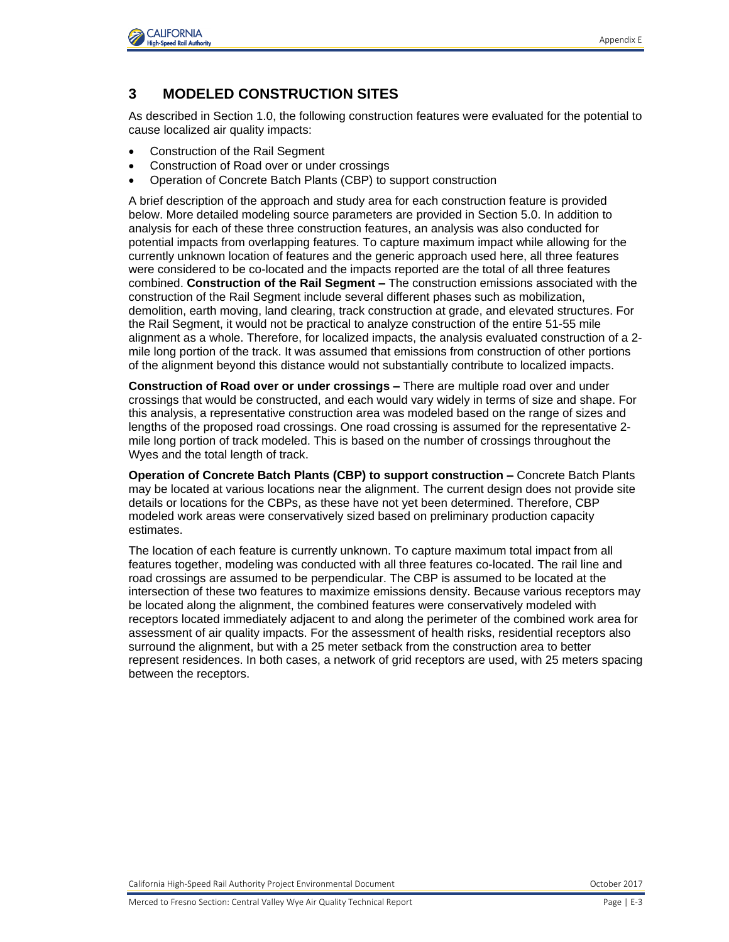

## **3 MODELED CONSTRUCTION SITES**

As described in Section 1.0, the following construction features were evaluated for the potential to cause localized air quality impacts:

- Construction of the Rail Segment
- Construction of Road over or under crossings
- Operation of Concrete Batch Plants (CBP) to support construction

A brief description of the approach and study area for each construction feature is provided below. More detailed modeling source parameters are provided in Section 5.0. In addition to analysis for each of these three construction features, an analysis was also conducted for potential impacts from overlapping features. To capture maximum impact while allowing for the currently unknown location of features and the generic approach used here, all three features were considered to be co-located and the impacts reported are the total of all three features combined. **Construction of the Rail Segment –** The construction emissions associated with the construction of the Rail Segment include several different phases such as mobilization, demolition, earth moving, land clearing, track construction at grade, and elevated structures. For the Rail Segment, it would not be practical to analyze construction of the entire 51-55 mile alignment as a whole. Therefore, for localized impacts, the analysis evaluated construction of a 2 mile long portion of the track. It was assumed that emissions from construction of other portions of the alignment beyond this distance would not substantially contribute to localized impacts.

**Construction of Road over or under crossings –** There are multiple road over and under crossings that would be constructed, and each would vary widely in terms of size and shape. For this analysis, a representative construction area was modeled based on the range of sizes and lengths of the proposed road crossings. One road crossing is assumed for the representative 2 mile long portion of track modeled. This is based on the number of crossings throughout the Wyes and the total length of track.

**Operation of Concrete Batch Plants (CBP) to support construction –** Concrete Batch Plants may be located at various locations near the alignment. The current design does not provide site details or locations for the CBPs, as these have not yet been determined. Therefore, CBP modeled work areas were conservatively sized based on preliminary production capacity estimates.

The location of each feature is currently unknown. To capture maximum total impact from all features together, modeling was conducted with all three features co-located. The rail line and road crossings are assumed to be perpendicular. The CBP is assumed to be located at the intersection of these two features to maximize emissions density. Because various receptors may be located along the alignment, the combined features were conservatively modeled with receptors located immediately adjacent to and along the perimeter of the combined work area for assessment of air quality impacts. For the assessment of health risks, residential receptors also surround the alignment, but with a 25 meter setback from the construction area to better represent residences. In both cases, a network of grid receptors are used, with 25 meters spacing between the receptors.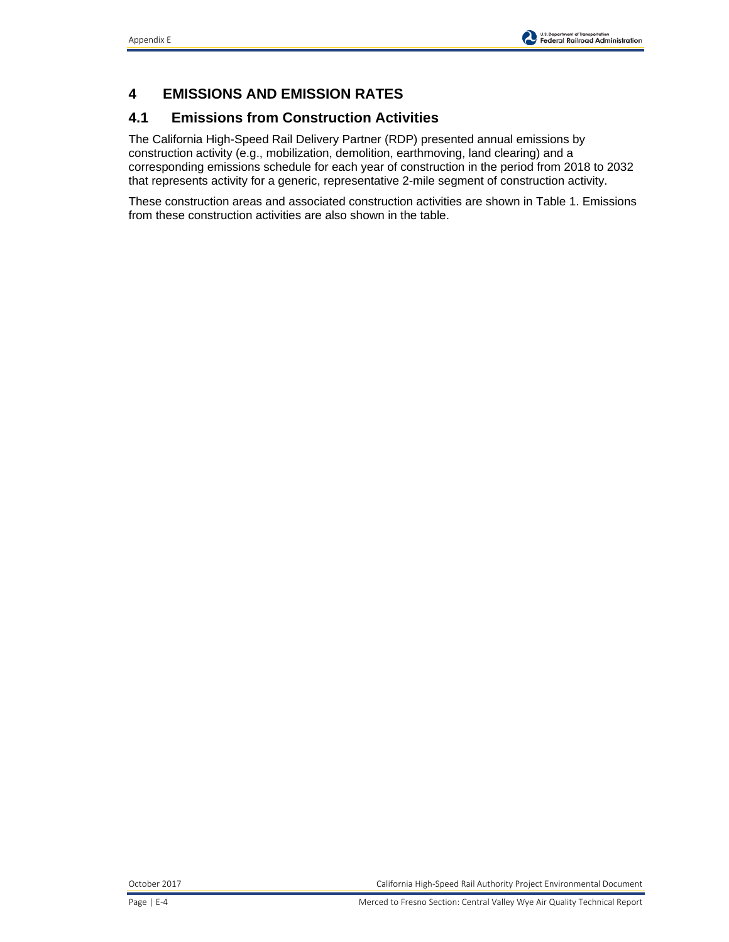# **4 EMISSIONS AND EMISSION RATES**

## **4.1 Emissions from Construction Activities**

The California High-Speed Rail Delivery Partner (RDP) presented annual emissions by construction activity (e.g., mobilization, demolition, earthmoving, land clearing) and a corresponding emissions schedule for each year of construction in the period from 2018 to 2032 that represents activity for a generic, representative 2-mile segment of construction activity.

These construction areas and associated construction activities are shown in Table 1. Emissions from these construction activities are also shown in the table.

October 2017 California High-Speed Rail Authority Project Environmental Document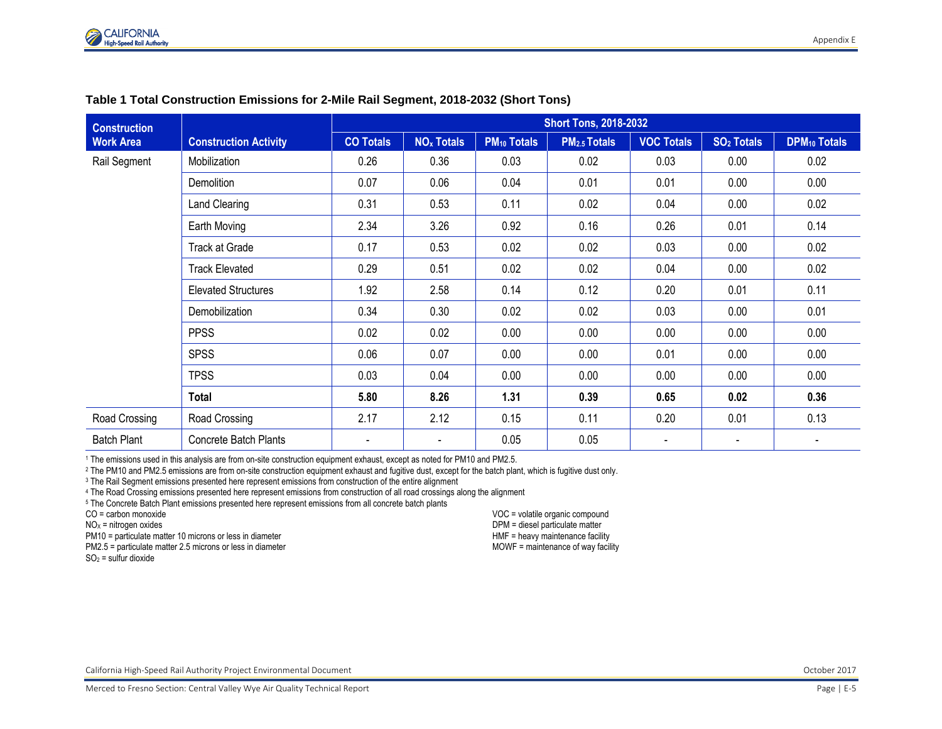

| <b>Construction</b> |                              |                  |                              |                    | <b>Short Tons, 2018-2032</b> |                   |                        |                          |
|---------------------|------------------------------|------------------|------------------------------|--------------------|------------------------------|-------------------|------------------------|--------------------------|
| <b>Work Area</b>    | <b>Construction Activity</b> | <b>CO Totals</b> | <b>NO<sub>x</sub></b> Totals | <b>PM10 Totals</b> | <b>PM2.5 Totals</b>          | <b>VOC Totals</b> | SO <sub>2</sub> Totals | <b>DPM10 Totals</b>      |
| Rail Segment        | Mobilization                 | 0.26             | 0.36                         | 0.03               | 0.02                         | 0.03              | 0.00                   | 0.02                     |
|                     | Demolition                   | 0.07             | 0.06                         | 0.04               | 0.01                         | 0.01              | 0.00                   | 0.00                     |
|                     | Land Clearing                | 0.31             | 0.53                         | 0.11               | 0.02                         | 0.04              | 0.00                   | 0.02                     |
|                     | Earth Moving                 | 2.34             | 3.26                         | 0.92               | 0.16                         | 0.26              | 0.01                   | 0.14                     |
|                     | <b>Track at Grade</b>        | 0.17             | 0.53                         | 0.02               | 0.02                         | 0.03              | 0.00                   | 0.02                     |
|                     | <b>Track Elevated</b>        | 0.29             | 0.51                         | 0.02               | 0.02                         | 0.04              | 0.00                   | 0.02                     |
|                     | <b>Elevated Structures</b>   | 1.92             | 2.58                         | 0.14               | 0.12                         | 0.20              | 0.01                   | 0.11                     |
|                     | Demobilization               | 0.34             | 0.30                         | 0.02               | 0.02                         | 0.03              | 0.00                   | 0.01                     |
|                     | <b>PPSS</b>                  | 0.02             | 0.02                         | 0.00               | 0.00                         | 0.00              | 0.00                   | 0.00                     |
|                     | <b>SPSS</b>                  | 0.06             | 0.07                         | 0.00               | 0.00                         | 0.01              | 0.00                   | 0.00                     |
|                     | <b>TPSS</b>                  | 0.03             | 0.04                         | 0.00               | 0.00                         | 0.00              | 0.00                   | 0.00                     |
|                     | <b>Total</b>                 | 5.80             | 8.26                         | 1.31               | 0.39                         | 0.65              | 0.02                   | 0.36                     |
| Road Crossing       | Road Crossing                | 2.17             | 2.12                         | 0.15               | 0.11                         | 0.20              | 0.01                   | 0.13                     |
| <b>Batch Plant</b>  | <b>Concrete Batch Plants</b> | $\blacksquare$   | $\blacksquare$               | 0.05               | 0.05                         | $\blacksquare$    |                        | $\overline{\phantom{a}}$ |

#### **Table 1 Total Construction Emissions for 2-Mile Rail Segment, 2018-2032 (Short Tons)**

<sup>1</sup> The emissions used in this analysis are from on-site construction equipment exhaust, except as noted for PM10 and PM2.5.

<sup>2</sup> The PM10 and PM2.5 emissions are from on-site construction equipment exhaust and fugitive dust, except for the batch plant, which is fugitive dust only.

<sup>3</sup> The Rail Segment emissions presented here represent emissions from construction of the entire alignment

<sup>4</sup> The Road Crossing emissions presented here represent emissions from construction of all road crossings along the alignment

<sup>5</sup> The Concrete Batch Plant emissions presented here represent emissions from all concrete batch plants

CO = carbon monoxide

 $NO<sub>x</sub>$  = nitrogen oxides

PM10 = particulate matter 10 microns or less in diameter

PM2.5 = particulate matter 2.5 microns or less in diameter

 $SO<sub>2</sub>$  = sulfur dioxide

VOC = volatile organic compound DPM = diesel particulate matter HMF = heavy maintenance facility MOWF = maintenance of way facility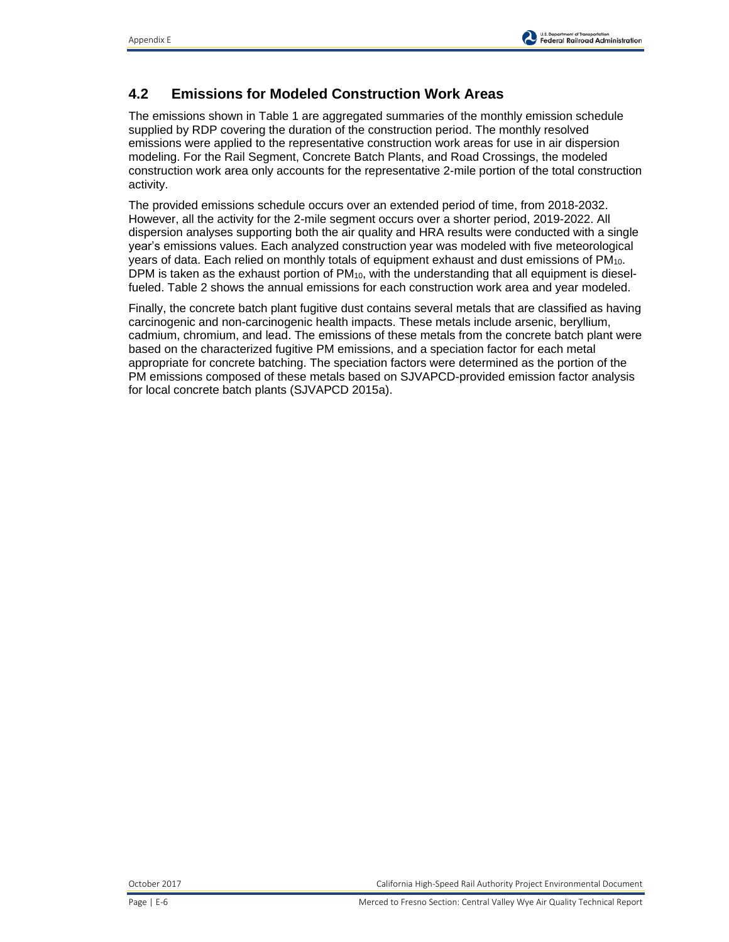# **4.2 Emissions for Modeled Construction Work Areas**

The emissions shown in Table 1 are aggregated summaries of the monthly emission schedule supplied by RDP covering the duration of the construction period. The monthly resolved emissions were applied to the representative construction work areas for use in air dispersion modeling. For the Rail Segment, Concrete Batch Plants, and Road Crossings, the modeled construction work area only accounts for the representative 2-mile portion of the total construction activity.

The provided emissions schedule occurs over an extended period of time, from 2018-2032. However, all the activity for the 2-mile segment occurs over a shorter period, 2019-2022. All dispersion analyses supporting both the air quality and HRA results were conducted with a single year's emissions values. Each analyzed construction year was modeled with five meteorological years of data. Each relied on monthly totals of equipment exhaust and dust emissions of PM10. DPM is taken as the exhaust portion of PM<sub>10</sub>, with the understanding that all equipment is dieselfueled. Table 2 shows the annual emissions for each construction work area and year modeled.

Finally, the concrete batch plant fugitive dust contains several metals that are classified as having carcinogenic and non-carcinogenic health impacts. These metals include arsenic, beryllium, cadmium, chromium, and lead. The emissions of these metals from the concrete batch plant were based on the characterized fugitive PM emissions, and a speciation factor for each metal appropriate for concrete batching. The speciation factors were determined as the portion of the PM emissions composed of these metals based on SJVAPCD-provided emission factor analysis for local concrete batch plants (SJVAPCD 2015a).

October 2017 California High-Speed Rail Authority Project Environmental Document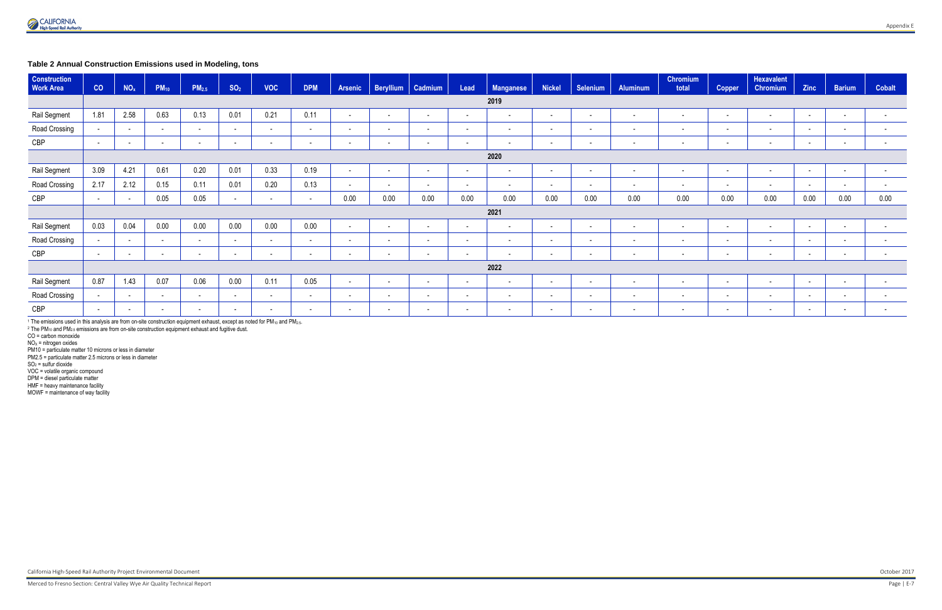### **Table 2 Annual Construction Emissions used in Modeling, tons**

| <b>Construction</b><br><b>Work Area</b> | CO              | NO <sub>x</sub>          | <b>PM10</b>              | PM <sub>2.5</sub> | SO <sub>2</sub>          | <b>VOC</b>               | <b>DPM</b> | <b>Arsenic</b> | <b>Beryllium</b>         | Cadmium  | Lead   | <b>Manganese</b> | <b>Nickel</b> | <b>Selenium</b>          | <b>Aluminum</b> | <b>Chromium</b><br>total | <b>Copper</b> | <b>Hexavalent</b><br><b>Chromium</b> | Zinc   | <b>Barium</b> | <b>Cobalt</b>            |
|-----------------------------------------|-----------------|--------------------------|--------------------------|-------------------|--------------------------|--------------------------|------------|----------------|--------------------------|----------|--------|------------------|---------------|--------------------------|-----------------|--------------------------|---------------|--------------------------------------|--------|---------------|--------------------------|
|                                         | 2019            |                          |                          |                   |                          |                          |            |                |                          |          |        |                  |               |                          |                 |                          |               |                                      |        |               |                          |
| Rail Segment                            | 1.81            | 2.58                     | 0.63                     | 0.13              | 0.01                     | 0.21                     | 0.11       | $\sim$         | $\sim$                   | $\sim$   | $\sim$ | $\sim$           | $\sim$        | $\sim$                   | $\sim$          | $\sim$                   | $\sim$        | $\sim$                               | $\sim$ | $\sim$        |                          |
| Road Crossing                           | $\sim$          | $\sim$                   | $\sim$                   | $\sim$            | $\sim$                   | $\sim$                   | $\sim$     | $\sim$         | $\sim$                   | $\sim$   | $\sim$ | $\sim$           | $\sim$        | $\sim$                   | $\sim$          | $\sim$                   | $\sim$        | $\sim$                               | $\sim$ | $\sim$        | $\overline{\phantom{a}}$ |
| CBP                                     | $\sim$          | $\sim$                   | $\overline{\phantom{a}}$ | $\sim$            | $\sim$                   | $\sim$                   | $\sim$     | $\sim$         | $\overline{\phantom{0}}$ | $\sim$   | $\sim$ | $\sim$           | $\sim$        | $\sim$                   | $\sim$          | $\overline{\phantom{0}}$ | $\sim$        | $\sim$                               | $\sim$ | $\sim$        | $\overline{\phantom{0}}$ |
|                                         | 2020            |                          |                          |                   |                          |                          |            |                |                          |          |        |                  |               |                          |                 |                          |               |                                      |        |               |                          |
| Rail Segment                            | 3.09            | 4.21                     | 0.61                     | 0.20              | 0.01                     | 0.33                     | 0.19       | $\sim$         | $\sim$                   | $\sim$   | $\sim$ | $\sim$           | $\sim$        | $\sim$                   | $\sim$          | $\sim$                   | $\sim$        | $\overline{\phantom{a}}$             | $\sim$ | $\sim$        | $\overline{\phantom{a}}$ |
| Road Crossing                           | 2.17            | 2.12                     | 0.15                     | 0.11              | 0.01                     | 0.20                     | 0.13       | $\sim$         | $\sim$                   | $\sim$   | $\sim$ | $\sim$           | $\sim$        | $\sim$                   | $\sim$          | $\overline{\phantom{a}}$ | $\sim$        | $\sim$                               | $\sim$ | $\sim$        | $\overline{\phantom{a}}$ |
| CBP                                     | $\sim$          | $\overline{\phantom{a}}$ | 0.05                     | 0.05              | $\sim$                   | $\overline{\phantom{a}}$ | $\sim$     | 0.00           | 0.00                     | $0.00\,$ | 0.00   | 0.00             | 0.00          | 0.00                     | 0.00            | 0.00                     | 0.00          | 0.00                                 | 0.00   | 0.00          | 0.00                     |
|                                         |                 |                          |                          |                   |                          |                          |            |                |                          |          |        | 2021             |               |                          |                 |                          |               |                                      |        |               |                          |
| Rail Segment                            | 0.03            | 0.04                     | 0.00                     | 0.00              | 0.00                     | 0.00                     | 0.00       | $\sim$         | $\sim$                   | $\sim$   | $\sim$ | $\sim$           | $\sim$        | $\sim$                   | $\sim$          | $\sim$                   | $\sim$        | $\sim$                               | $\sim$ | $\sim$        | $\overline{\phantom{a}}$ |
| Road Crossing                           | $\sim$          | $\overline{\phantom{a}}$ | $\sim$                   | $\sim$            | $\sim$                   | $\sim$                   | $\sim$     | $\sim$         | $\sim$                   | $\sim$   | $\sim$ | $\sim$           | $\sim$        | $\sim$                   | $\sim$          | $\sim$                   | $\sim$        | $\sim$                               | $\sim$ | $\sim$        | $\sim$                   |
| CBP                                     | $\sim$          | $\sim$                   | $\overline{\phantom{a}}$ | $\sim$            | $\sim$                   | $\sim$                   | $\sim$     | $\sim$         | $\sim$                   | $\sim$   | $\sim$ | $\sim$           | $\sim$        | $\sim$                   | $\sim$          | $\sim$                   | $\sim$        | $\sim$                               | $\sim$ | $\sim$        |                          |
|                                         | 2022            |                          |                          |                   |                          |                          |            |                |                          |          |        |                  |               |                          |                 |                          |               |                                      |        |               |                          |
| Rail Segment                            | 0.87            | 1.43                     | 0.07                     | 0.06              | 0.00                     | 0.11                     | 0.05       | $\sim$         | $\sim$                   | $\sim$   | $\sim$ | $\sim$           | $\sim$        | $\sim$                   | $\sim$          | $\sim$                   | $\sim$        | $\sim$                               | $\sim$ | $\sim$        |                          |
| Road Crossing                           | $\sim$ 10 $\pm$ | $\overline{\phantom{0}}$ | $\overline{\phantom{a}}$ | $\sim$            | $\overline{\phantom{a}}$ | $\sim$                   | $\sim$     | $\sim$         | $\sim$                   | $\sim$   | $\sim$ | $\sim$           | $\sim$        | $\sim$                   | $\sim$          | $\overline{\phantom{a}}$ | $\sim$        | $\overline{\phantom{a}}$             | $\sim$ | $\sim$        |                          |
| CBP                                     | $\sim$          | $\sim$                   | $\sim$                   | $\sim$            | $\sim$                   | $\sim$                   | $\sim$     | $\sim$         | $\sim$                   | $\sim$   | $\sim$ | $\sim$           | $\sim$        | $\overline{\phantom{0}}$ | $\sim$          | $\sim$                   | $\sim$        | $\sim$                               | $\sim$ | $\sim$        | $\sim$                   |

1 The emissions used in this analysis are from on-site construction equipment exhaust, except as noted for PM<sub>10</sub> and PM<sub>2.5</sub>.

<sup>2</sup> The PM<sub>10</sub> and PM<sub>2.5</sub> emissions are from on-site construction equipment exhaust and fugitive dust.

CO = carbon monoxide

 $NO<sub>x</sub>$  = nitrogen oxides

PM10 = particulate matter 10 microns or less in diameter PM2.5 = particulate matter 2.5 microns or less in diameter

 $SO<sub>2</sub>$  = sulfur dioxide

VOC = volatile organic compound DPM = diesel particulate matter

HMF = heavy maintenance facility

MOWF = maintenance of way facility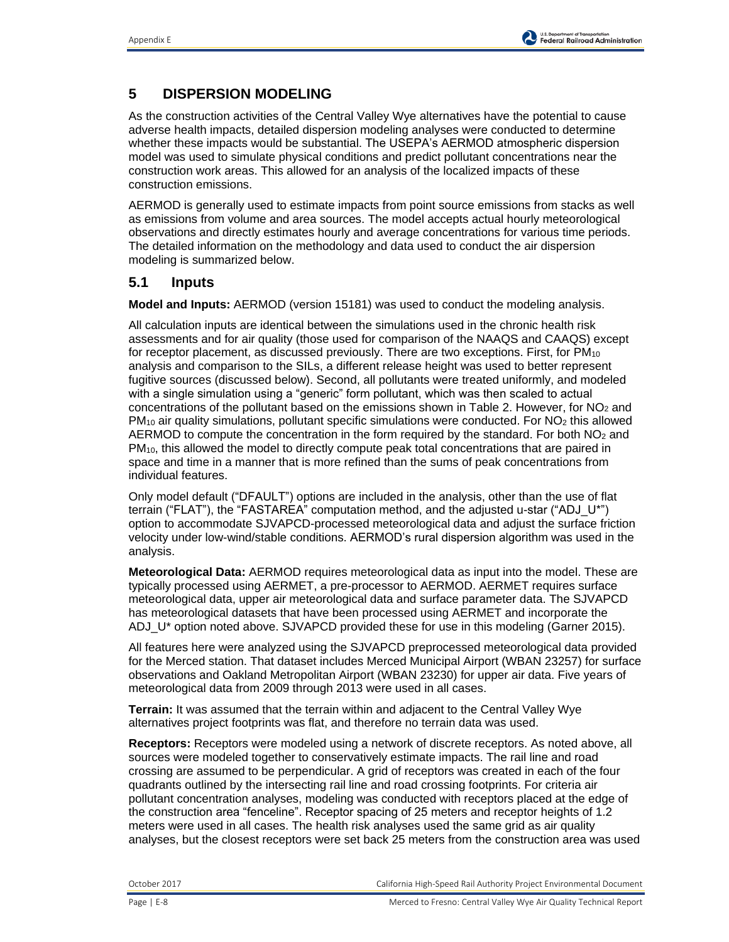## **5 DISPERSION MODELING**

As the construction activities of the Central Valley Wye alternatives have the potential to cause adverse health impacts, detailed dispersion modeling analyses were conducted to determine whether these impacts would be substantial. The USEPA's AERMOD atmospheric dispersion model was used to simulate physical conditions and predict pollutant concentrations near the construction work areas. This allowed for an analysis of the localized impacts of these construction emissions.

AERMOD is generally used to estimate impacts from point source emissions from stacks as well as emissions from volume and area sources. The model accepts actual hourly meteorological observations and directly estimates hourly and average concentrations for various time periods. The detailed information on the methodology and data used to conduct the air dispersion modeling is summarized below.

### **5.1 Inputs**

**Model and Inputs:** AERMOD (version 15181) was used to conduct the modeling analysis.

All calculation inputs are identical between the simulations used in the chronic health risk assessments and for air quality (those used for comparison of the NAAQS and CAAQS) except for receptor placement, as discussed previously. There are two exceptions. First, for PM<sub>10</sub> analysis and comparison to the SILs, a different release height was used to better represent fugitive sources (discussed below). Second, all pollutants were treated uniformly, and modeled with a single simulation using a "generic" form pollutant, which was then scaled to actual concentrations of the pollutant based on the emissions shown in Table 2. However, for  $NO<sub>2</sub>$  and  $PM_{10}$  air quality simulations, pollutant specific simulations were conducted. For  $NO<sub>2</sub>$  this allowed AERMOD to compute the concentration in the form required by the standard. For both  $NO<sub>2</sub>$  and PM<sub>10</sub>, this allowed the model to directly compute peak total concentrations that are paired in space and time in a manner that is more refined than the sums of peak concentrations from individual features.

Only model default ("DFAULT") options are included in the analysis, other than the use of flat terrain ("FLAT"), the "FASTAREA" computation method, and the adjusted u-star ("ADJ\_U\*") option to accommodate SJVAPCD-processed meteorological data and adjust the surface friction velocity under low-wind/stable conditions. AERMOD's rural dispersion algorithm was used in the analysis.

**Meteorological Data:** AERMOD requires meteorological data as input into the model. These are typically processed using AERMET, a pre-processor to AERMOD. AERMET requires surface meteorological data, upper air meteorological data and surface parameter data. The SJVAPCD has meteorological datasets that have been processed using AERMET and incorporate the ADJ\_U<sup>\*</sup> option noted above. SJVAPCD provided these for use in this modeling (Garner 2015).

All features here were analyzed using the SJVAPCD preprocessed meteorological data provided for the Merced station. That dataset includes Merced Municipal Airport (WBAN 23257) for surface observations and Oakland Metropolitan Airport (WBAN 23230) for upper air data. Five years of meteorological data from 2009 through 2013 were used in all cases.

**Terrain:** It was assumed that the terrain within and adjacent to the Central Valley Wye alternatives project footprints was flat, and therefore no terrain data was used.

**Receptors:** Receptors were modeled using a network of discrete receptors. As noted above, all sources were modeled together to conservatively estimate impacts. The rail line and road crossing are assumed to be perpendicular. A grid of receptors was created in each of the four quadrants outlined by the intersecting rail line and road crossing footprints. For criteria air pollutant concentration analyses, modeling was conducted with receptors placed at the edge of the construction area "fenceline". Receptor spacing of 25 meters and receptor heights of 1.2 meters were used in all cases. The health risk analyses used the same grid as air quality analyses, but the closest receptors were set back 25 meters from the construction area was used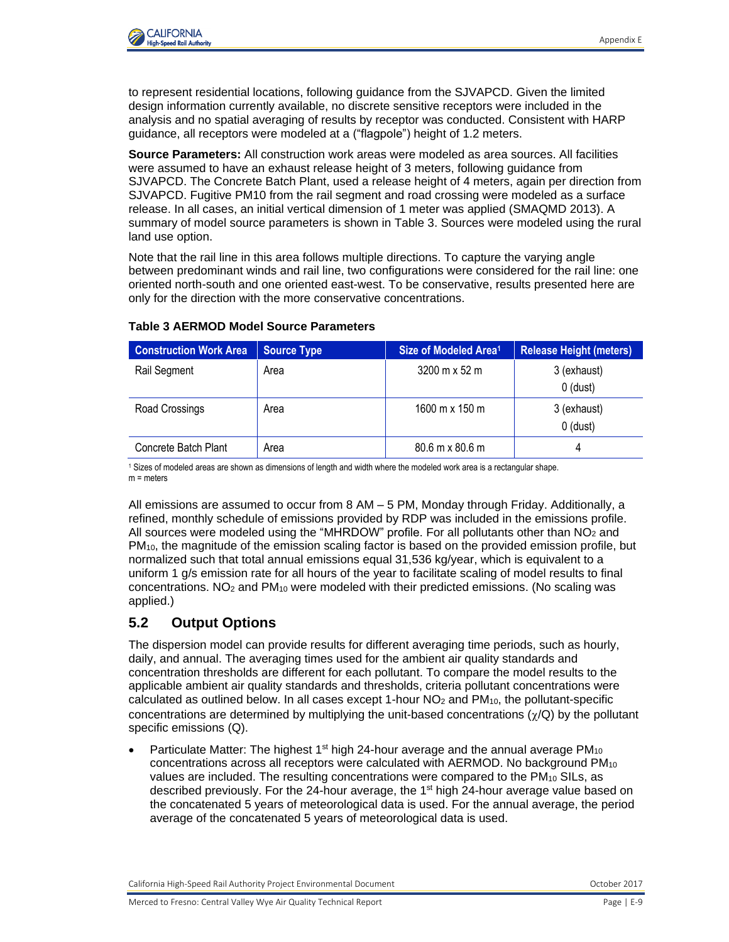

to represent residential locations, following guidance from the SJVAPCD. Given the limited design information currently available, no discrete sensitive receptors were included in the analysis and no spatial averaging of results by receptor was conducted. Consistent with HARP guidance, all receptors were modeled at a ("flagpole") height of 1.2 meters.

**Source Parameters:** All construction work areas were modeled as area sources. All facilities were assumed to have an exhaust release height of 3 meters, following guidance from SJVAPCD. The Concrete Batch Plant, used a release height of 4 meters, again per direction from SJVAPCD. Fugitive PM10 from the rail segment and road crossing were modeled as a surface release. In all cases, an initial vertical dimension of 1 meter was applied (SMAQMD 2013). A summary of model source parameters is shown in Table 3. Sources were modeled using the rural land use option.

Note that the rail line in this area follows multiple directions. To capture the varying angle between predominant winds and rail line, two configurations were considered for the rail line: one oriented north-south and one oriented east-west. To be conservative, results presented here are only for the direction with the more conservative concentrations.

| <b>Construction Work Area</b> | <b>Source Type</b> | Size of Modeled Area <sup>1</sup>    | Release Height (meters)   |
|-------------------------------|--------------------|--------------------------------------|---------------------------|
| Rail Segment                  | Area               | $3200 \text{ m} \times 52 \text{ m}$ | 3 (exhaust)<br>$0$ (dust) |
| Road Crossings                | Area               | 1600 m x 150 m                       | 3 (exhaust)<br>$0$ (dust) |
| Concrete Batch Plant          | Area               | 80.6 m x 80.6 m                      |                           |

#### **Table 3 AERMOD Model Source Parameters**

<sup>1</sup> Sizes of modeled areas are shown as dimensions of length and width where the modeled work area is a rectangular shape. m = meters

All emissions are assumed to occur from 8 AM – 5 PM, Monday through Friday. Additionally, a refined, monthly schedule of emissions provided by RDP was included in the emissions profile. All sources were modeled using the "MHRDOW" profile. For all pollutants other than  $NO<sub>2</sub>$  and PM10, the magnitude of the emission scaling factor is based on the provided emission profile, but normalized such that total annual emissions equal 31,536 kg/year, which is equivalent to a uniform 1 g/s emission rate for all hours of the year to facilitate scaling of model results to final concentrations.  $NO<sub>2</sub>$  and PM<sub>10</sub> were modeled with their predicted emissions. (No scaling was applied.)

# **5.2 Output Options**

The dispersion model can provide results for different averaging time periods, such as hourly, daily, and annual. The averaging times used for the ambient air quality standards and concentration thresholds are different for each pollutant. To compare the model results to the applicable ambient air quality standards and thresholds, criteria pollutant concentrations were calculated as outlined below. In all cases except 1-hour  $NO<sub>2</sub>$  and  $PM<sub>10</sub>$ , the pollutant-specific concentrations are determined by multiplying the unit-based concentrations  $(\gamma/Q)$  by the pollutant specific emissions (Q).

Particulate Matter: The highest  $1<sup>st</sup>$  high 24-hour average and the annual average PM<sub>10</sub> concentrations across all receptors were calculated with  $AERMOD$ . No background  $PM<sub>10</sub>$ values are included. The resulting concentrations were compared to the PM<sub>10</sub> SILs, as described previously. For the 24-hour average, the 1<sup>st</sup> high 24-hour average value based on the concatenated 5 years of meteorological data is used. For the annual average, the period average of the concatenated 5 years of meteorological data is used.

California High-Speed Rail Authority Project Environmental Document **California Communisty Communisty** October 2017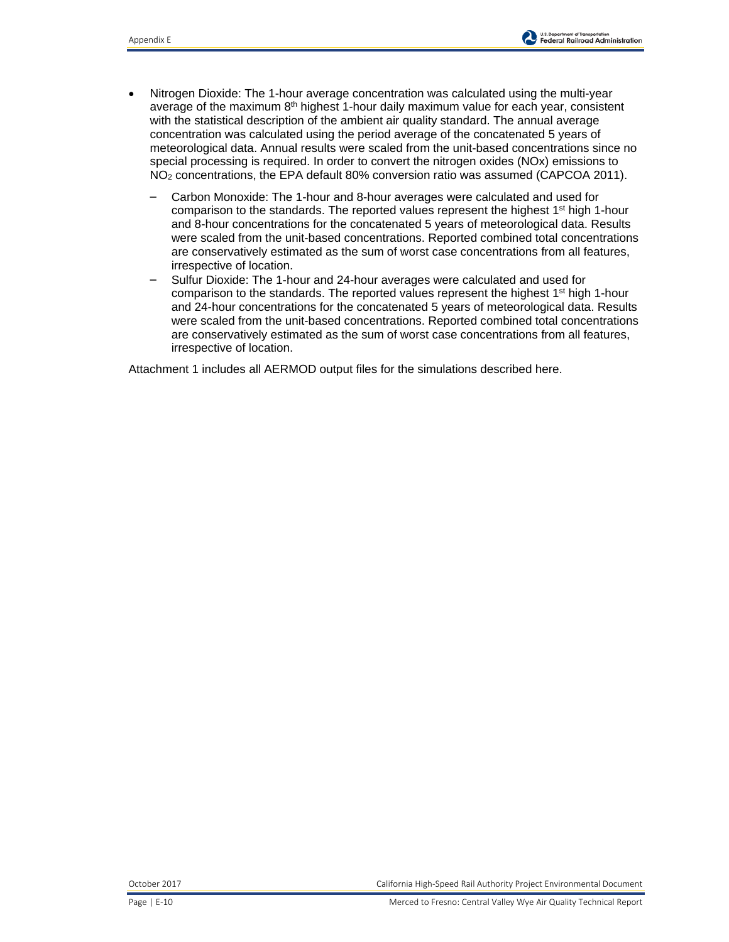- Nitrogen Dioxide: The 1-hour average concentration was calculated using the multi-year average of the maximum 8<sup>th</sup> highest 1-hour daily maximum value for each year, consistent with the statistical description of the ambient air quality standard. The annual average concentration was calculated using the period average of the concatenated 5 years of meteorological data. Annual results were scaled from the unit-based concentrations since no special processing is required. In order to convert the nitrogen oxides (NOx) emissions to NO<sup>2</sup> concentrations, the EPA default 80% conversion ratio was assumed (CAPCOA 2011).
	- Carbon Monoxide: The 1-hour and 8-hour averages were calculated and used for comparison to the standards. The reported values represent the highest  $1<sup>st</sup>$  high 1-hour and 8-hour concentrations for the concatenated 5 years of meteorological data. Results were scaled from the unit-based concentrations. Reported combined total concentrations are conservatively estimated as the sum of worst case concentrations from all features, irrespective of location.
	- Sulfur Dioxide: The 1-hour and 24-hour averages were calculated and used for comparison to the standards. The reported values represent the highest 1<sup>st</sup> high 1-hour and 24-hour concentrations for the concatenated 5 years of meteorological data. Results were scaled from the unit-based concentrations. Reported combined total concentrations are conservatively estimated as the sum of worst case concentrations from all features, irrespective of location.

Attachment 1 includes all AERMOD output files for the simulations described here.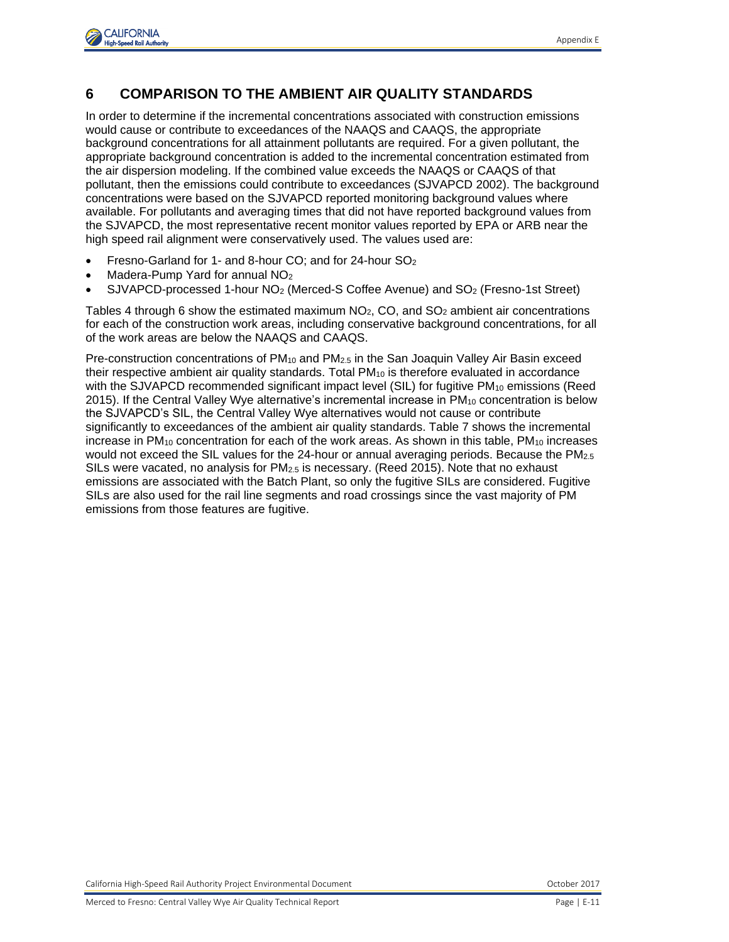

## **6 COMPARISON TO THE AMBIENT AIR QUALITY STANDARDS**

In order to determine if the incremental concentrations associated with construction emissions would cause or contribute to exceedances of the NAAQS and CAAQS, the appropriate background concentrations for all attainment pollutants are required. For a given pollutant, the appropriate background concentration is added to the incremental concentration estimated from the air dispersion modeling. If the combined value exceeds the NAAQS or CAAQS of that pollutant, then the emissions could contribute to exceedances (SJVAPCD 2002). The background concentrations were based on the SJVAPCD reported monitoring background values where available. For pollutants and averaging times that did not have reported background values from the SJVAPCD, the most representative recent monitor values reported by EPA or ARB near the high speed rail alignment were conservatively used. The values used are:

- Fresno-Garland for 1- and 8-hour CO; and for 24-hour SO<sup>2</sup>
- Madera-Pump Yard for annual NO<sub>2</sub>
- SJVAPCD-processed 1-hour NO<sup>2</sup> (Merced-S Coffee Avenue) and SO<sup>2</sup> (Fresno-1st Street)

Tables 4 through 6 show the estimated maximum  $NO<sub>2</sub>$ , CO, and SO<sub>2</sub> ambient air concentrations for each of the construction work areas, including conservative background concentrations, for all of the work areas are below the NAAQS and CAAQS.

Pre-construction concentrations of  $PM_{10}$  and  $PM_{2.5}$  in the San Joaquin Valley Air Basin exceed their respective ambient air quality standards. Total PM<sub>10</sub> is therefore evaluated in accordance with the SJVAPCD recommended significant impact level (SIL) for fugitive  $PM_{10}$  emissions (Reed 2015). If the Central Valley Wye alternative's incremental increase in  $PM_{10}$  concentration is below the SJVAPCD's SIL, the Central Valley Wye alternatives would not cause or contribute significantly to exceedances of the ambient air quality standards. Table 7 shows the incremental increase in  $PM_{10}$  concentration for each of the work areas. As shown in this table,  $PM_{10}$  increases would not exceed the SIL values for the 24-hour or annual averaging periods. Because the PM<sub>2.5</sub> SILs were vacated, no analysis for  $PM<sub>2.5</sub>$  is necessary. (Reed 2015). Note that no exhaust emissions are associated with the Batch Plant, so only the fugitive SILs are considered. Fugitive SILs are also used for the rail line segments and road crossings since the vast majority of PM emissions from those features are fugitive.

California High-Speed Rail Authority Project Environmental Document October 2017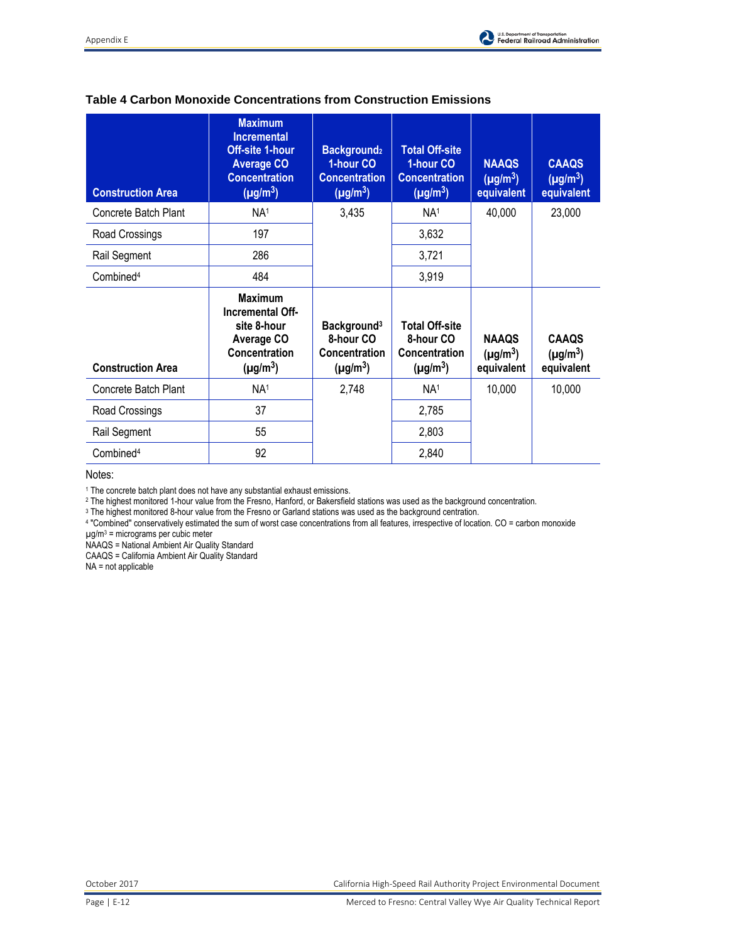

| <b>Construction Area</b> | <b>Maximum</b><br><b>Incremental</b><br><b>Off-site 1-hour</b><br><b>Average CO</b><br><b>Concentration</b><br>$(\mu g/m^3)$ | <b>Background2</b><br>1-hour CO<br><b>Concentration</b><br>$(\mu g/m^3)$ | <b>Total Off-site</b><br>1-hour CO<br><b>Concentration</b><br>$(\mu g/m^3)$ | <b>NAAQS</b><br>$(\mu g/m^3)$<br>equivalent | <b>CAAQS</b><br>$(\mu g/m^3)$<br>equivalent |
|--------------------------|------------------------------------------------------------------------------------------------------------------------------|--------------------------------------------------------------------------|-----------------------------------------------------------------------------|---------------------------------------------|---------------------------------------------|
| Concrete Batch Plant     | NA <sup>1</sup>                                                                                                              | 3,435                                                                    | NA <sup>1</sup>                                                             | 40,000                                      | 23,000                                      |
| Road Crossings           | 197                                                                                                                          |                                                                          | 3,632                                                                       |                                             |                                             |
| Rail Segment             | 286                                                                                                                          |                                                                          | 3,721                                                                       |                                             |                                             |
| Combined <sup>4</sup>    | 484                                                                                                                          |                                                                          | 3,919                                                                       |                                             |                                             |
|                          |                                                                                                                              |                                                                          |                                                                             |                                             |                                             |
| <b>Construction Area</b> | <b>Maximum</b><br>Incremental Off-<br>site 8-hour<br><b>Average CO</b><br>Concentration<br>$(\mu g/m^3)$                     | Background <sup>3</sup><br>8-hour CO<br>Concentration<br>$(\mu g/m^3)$   | <b>Total Off-site</b><br>8-hour CO<br><b>Concentration</b><br>$(\mu g/m^3)$ | <b>NAAQS</b><br>$(\mu g/m^3)$<br>equivalent | <b>CAAQS</b><br>$(\mu g/m^3)$<br>equivalent |
| Concrete Batch Plant     | NA <sup>1</sup>                                                                                                              | 2,748                                                                    | NA <sup>1</sup>                                                             | 10,000                                      | 10,000                                      |
| Road Crossings           | 37                                                                                                                           |                                                                          | 2,785                                                                       |                                             |                                             |
| Rail Segment             | 55                                                                                                                           |                                                                          | 2,803                                                                       |                                             |                                             |

#### **Table 4 Carbon Monoxide Concentrations from Construction Emissions**

Notes:

<sup>1</sup> The concrete batch plant does not have any substantial exhaust emissions.

<sup>2</sup> The highest monitored 1-hour value from the Fresno, Hanford, or Bakersfield stations was used as the background concentration.

<sup>3</sup> The highest monitored 8-hour value from the Fresno or Garland stations was used as the background centration.

4 "Combined" conservatively estimated the sum of worst case concentrations from all features, irrespective of location. CO = carbon monoxide

µg/m<sup>3</sup> = micrograms per cubic meter

NAAQS = National Ambient Air Quality Standard

CAAQS = California Ambient Air Quality Standard

NA = not applicable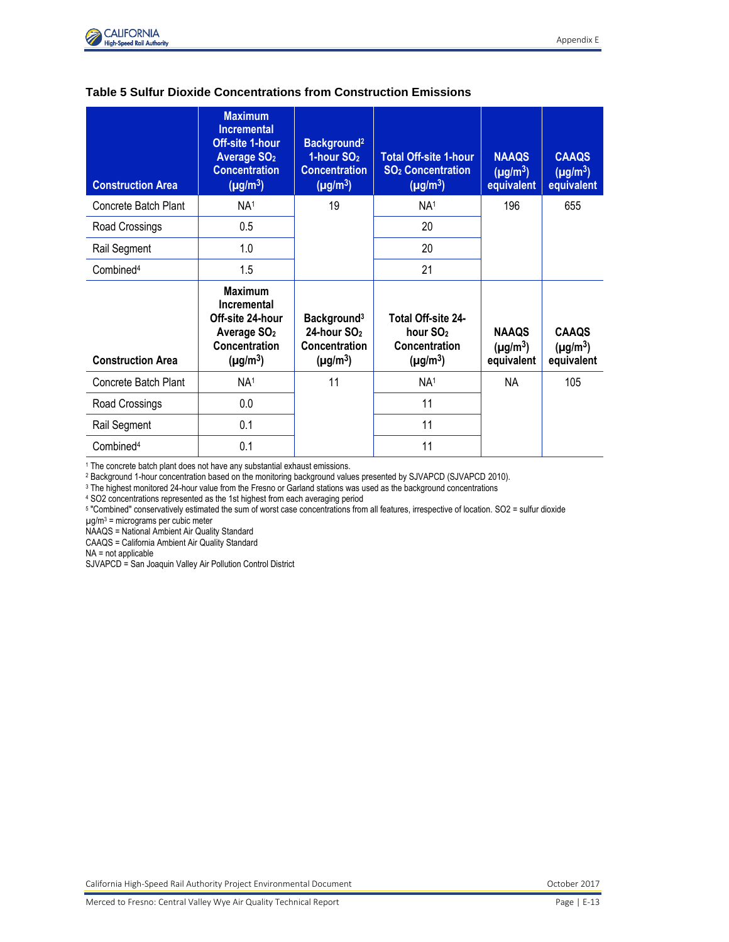

| <b>Table 5 Sulfur Dioxide Concentrations from Construction Emissions</b> |
|--------------------------------------------------------------------------|
|--------------------------------------------------------------------------|

| <b>Construction Area</b> | <b>Maximum</b><br><b>Incremental</b><br><b>Off-site 1-hour</b><br><b>Average SO<sub>2</sub></b><br><b>Concentration</b><br>$(\mu g/m^3)$ | Background <sup>2</sup><br>1-hour SO <sub>2</sub><br><b>Concentration</b><br>$(\mu g/m^3)$  | <b>Total Off-site 1-hour</b><br>SO <sub>2</sub> Concentration<br>$(\mu g/m^3)$ | <b>NAAQS</b><br>$(\mu g/m^3)$<br>equivalent | <b>CAAQS</b><br>$(\mu g/m^3)$<br>equivalent |
|--------------------------|------------------------------------------------------------------------------------------------------------------------------------------|---------------------------------------------------------------------------------------------|--------------------------------------------------------------------------------|---------------------------------------------|---------------------------------------------|
| Concrete Batch Plant     | NA <sup>1</sup>                                                                                                                          | 19                                                                                          | NA <sup>1</sup>                                                                | 196                                         | 655                                         |
| Road Crossings           | 0.5                                                                                                                                      |                                                                                             | 20                                                                             |                                             |                                             |
| Rail Segment             | 1.0                                                                                                                                      |                                                                                             | 20                                                                             |                                             |                                             |
| Combined <sup>4</sup>    | 1.5                                                                                                                                      |                                                                                             | 21                                                                             |                                             |                                             |
| <b>Construction Area</b> | <b>Maximum</b><br>Incremental<br>Off-site 24-hour<br>Average SO <sub>2</sub><br>Concentration<br>$(\mu g/m^3)$                           | Background <sup>3</sup><br>24-hour SO <sub>2</sub><br><b>Concentration</b><br>$(\mu g/m^3)$ | Total Off-site 24-<br>hour SO <sub>2</sub><br>Concentration<br>$(\mu g/m^3)$   | <b>NAAQS</b><br>$(\mu g/m^3)$<br>equivalent | <b>CAAQS</b><br>$(\mu g/m^3)$<br>equivalent |
| Concrete Batch Plant     | NA <sup>1</sup>                                                                                                                          | 11                                                                                          | NA <sup>1</sup>                                                                | NA.                                         | 105                                         |
| 0.0<br>Road Crossings    |                                                                                                                                          |                                                                                             | 11                                                                             |                                             |                                             |
| Rail Segment             | 0.1                                                                                                                                      |                                                                                             | 11                                                                             |                                             |                                             |
| Combined <sup>4</sup>    | 0.1                                                                                                                                      |                                                                                             | 11                                                                             |                                             |                                             |

<sup>1</sup> The concrete batch plant does not have any substantial exhaust emissions.

<sup>2</sup> Background 1-hour concentration based on the monitoring background values presented by SJVAPCD (SJVAPCD 2010).

<sup>3</sup> The highest monitored 24-hour value from the Fresno or Garland stations was used as the background concentrations

<sup>4</sup> SO2 concentrations represented as the 1st highest from each averaging period

5 "Combined" conservatively estimated the sum of worst case concentrations from all features, irrespective of location. SO2 = sulfur dioxide

µg/m<sup>3</sup> = micrograms per cubic meter

NAAQS = National Ambient Air Quality Standard

CAAQS = California Ambient Air Quality Standard

NA = not applicable

SJVAPCD = San Joaquin Valley Air Pollution Control District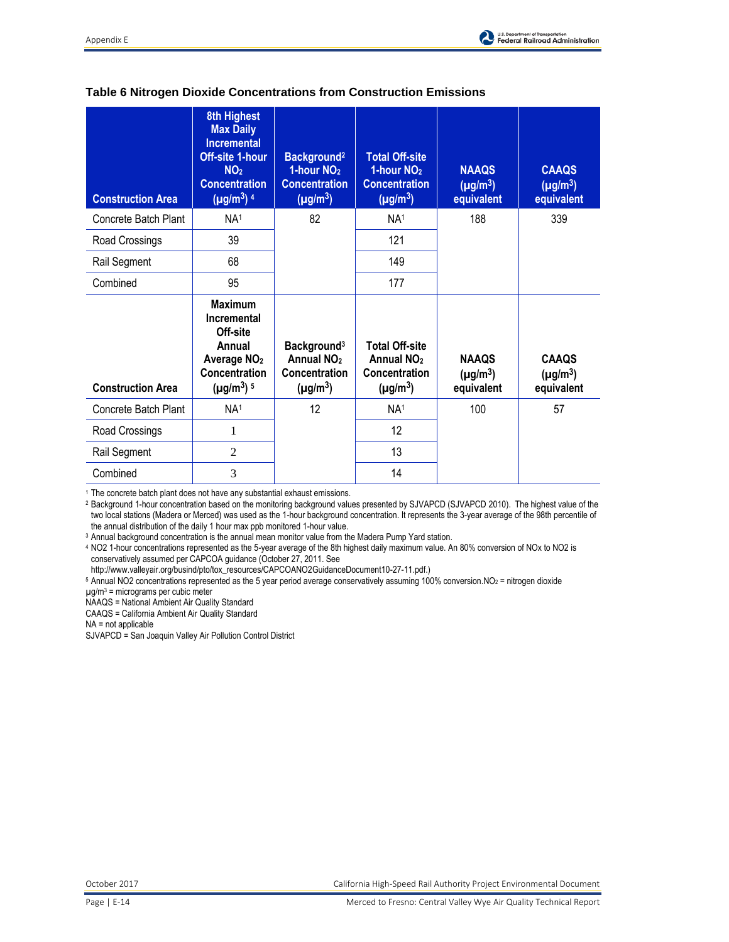| <b>Construction Area</b> | 8th Highest<br><b>Max Daily</b><br><b>Incremental</b><br><b>Off-site 1-hour</b><br>NO <sub>2</sub><br><b>Concentration</b><br>$(\mu g/m^3)^4$ | Background <sup>2</sup><br>1-hour NO <sub>2</sub><br><b>Concentration</b><br>$(\mu g/m^3)$ | <b>Total Off-site</b><br>1-hour NO <sub>2</sub><br><b>Concentration</b><br>$(\mu g/m^3)$ | <b>NAAQS</b><br>$(\mu g/m^3)$<br>equivalent | <b>CAAQS</b><br>$(\mu g/m^3)$<br>equivalent |
|--------------------------|-----------------------------------------------------------------------------------------------------------------------------------------------|--------------------------------------------------------------------------------------------|------------------------------------------------------------------------------------------|---------------------------------------------|---------------------------------------------|
| Concrete Batch Plant     | NA <sup>1</sup>                                                                                                                               | 82                                                                                         | NA <sup>1</sup>                                                                          | 188                                         | 339                                         |
| Road Crossings           | 39                                                                                                                                            |                                                                                            | 121                                                                                      |                                             |                                             |
| Rail Segment             | 68                                                                                                                                            |                                                                                            | 149                                                                                      |                                             |                                             |
| Combined                 | 95                                                                                                                                            |                                                                                            | 177                                                                                      |                                             |                                             |
| <b>Construction Area</b> | <b>Maximum</b><br>Incremental<br>Off-site<br>Annual<br>Average NO <sub>2</sub><br>Concentration<br>$(\mu g/m^3)$ <sup>5</sup>                 | Background <sup>3</sup><br>Annual NO <sub>2</sub><br>Concentration<br>$(\mu g/m^3)$        | <b>Total Off-site</b><br>Annual NO <sub>2</sub><br><b>Concentration</b><br>$(\mu g/m^3)$ | <b>NAAQS</b><br>$(\mu g/m^3)$<br>equivalent | <b>CAAOS</b><br>$(\mu g/m^3)$<br>equivalent |
| Concrete Batch Plant     | NA <sup>1</sup>                                                                                                                               | 12                                                                                         | NA <sup>1</sup>                                                                          | 100                                         | 57                                          |
| Road Crossings           | 1                                                                                                                                             |                                                                                            | 12                                                                                       |                                             |                                             |
| Rail Segment             | $\overline{2}$                                                                                                                                |                                                                                            | 13                                                                                       |                                             |                                             |
| Combined                 | 3                                                                                                                                             |                                                                                            | 14                                                                                       |                                             |                                             |

### **Table 6 Nitrogen Dioxide Concentrations from Construction Emissions**

<sup>1</sup> The concrete batch plant does not have any substantial exhaust emissions.

<sup>2</sup> Background 1-hour concentration based on the monitoring background values presented by SJVAPCD (SJVAPCD 2010). The highest value of the two local stations (Madera or Merced) was used as the 1-hour background concentration. It represents the 3-year average of the 98th percentile of the annual distribution of the daily 1 hour max ppb monitored 1-hour value.

<sup>3</sup> Annual background concentration is the annual mean monitor value from the Madera Pump Yard station.

<sup>4</sup> NO2 1-hour concentrations represented as the 5-year average of the 8th highest daily maximum value. An 80% conversion of NOx to NO2 is conservatively assumed per CAPCOA guidance (October 27, 2011. See

http://www.valleyair.org/busind/pto/tox\_resources/CAPCOANO2GuidanceDocument10-27-11.pdf.)

 $5$  Annual NO2 concentrations represented as the 5 year period average conservatively assuming 100% conversion.NO<sub>2</sub> = nitrogen dioxide

µg/m<sup>3</sup> = micrograms per cubic meter

NAAQS = National Ambient Air Quality Standard

CAAQS = California Ambient Air Quality Standard

NA = not applicable

SJVAPCD = San Joaquin Valley Air Pollution Control District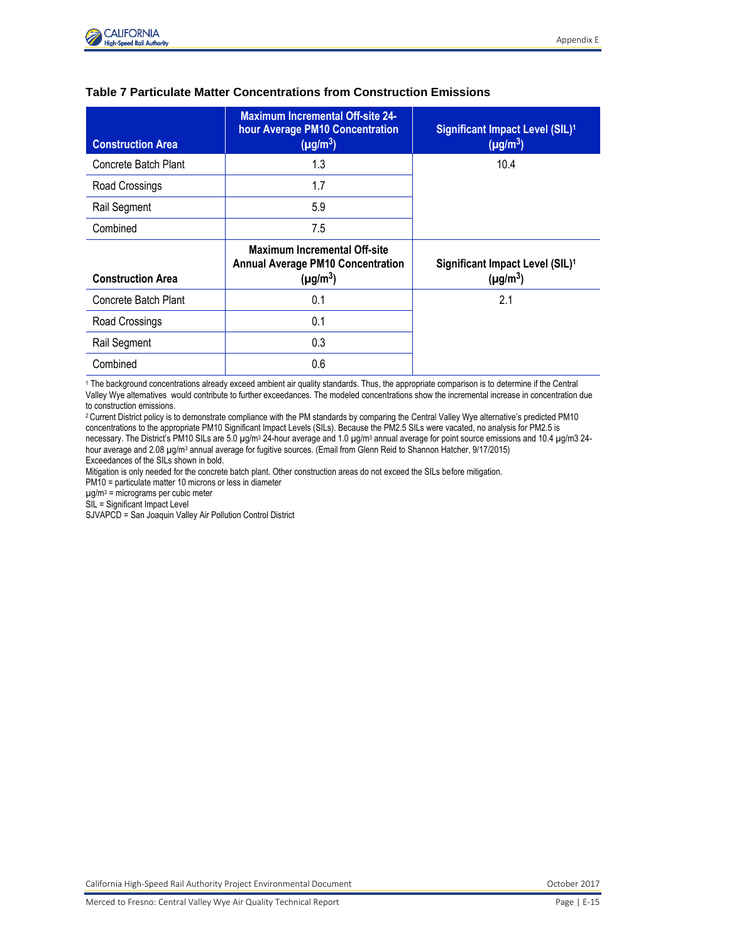

| <b>Construction Area</b> | <b>Maximum Incremental Off-site 24-</b><br>hour Average PM10 Concentration<br>$(\mu g/m^3)$ | Significant Impact Level (SIL) <sup>1</sup><br>$(\mu g/m^3)$ |
|--------------------------|---------------------------------------------------------------------------------------------|--------------------------------------------------------------|
| Concrete Batch Plant     | 1.3                                                                                         | 10.4                                                         |
| Road Crossings           | 1.7                                                                                         |                                                              |
| Rail Segment             | 5.9                                                                                         |                                                              |
| Combined                 | 7.5                                                                                         |                                                              |
|                          |                                                                                             |                                                              |
| <b>Construction Area</b> | Maximum Incremental Off-site<br><b>Annual Average PM10 Concentration</b><br>$(\mu g/m^3)$   | Significant Impact Level (SIL) <sup>1</sup><br>$(\mu g/m^3)$ |
| Concrete Batch Plant     | 0.1                                                                                         | 2.1                                                          |
| Road Crossings           | 0.1                                                                                         |                                                              |
| Rail Segment             | 0.3                                                                                         |                                                              |

#### **Table 7 Particulate Matter Concentrations from Construction Emissions**

<sup>1</sup> The background concentrations already exceed ambient air quality standards. Thus, the appropriate comparison is to determine if the Central Valley Wye alternatives would contribute to further exceedances. The modeled concentrations show the incremental increase in concentration due to construction emissions.

<sup>2</sup>Current District policy is to demonstrate compliance with the PM standards by comparing the Central Valley Wye alternative's predicted PM10 concentrations to the appropriate PM10 Significant Impact Levels (SILs). Because the PM2.5 SILs were vacated, no analysis for PM2.5 is necessary. The District's PM10 SILs are 5.0 µg/m<sup>3</sup> 24-hour average and 1.0 µg/m<sup>3</sup> annual average for point source emissions and 10.4 µg/m3 24hour average and 2.08 µg/m<sup>3</sup> annual average for fugitive sources. (Email from Glenn Reid to Shannon Hatcher, 9/17/2015) Exceedances of the SILs shown in bold.

Mitigation is only needed for the concrete batch plant. Other construction areas do not exceed the SILs before mitigation.

PM10 = particulate matter 10 microns or less in diameter

µg/m<sup>3</sup> = micrograms per cubic meter

SIL = Significant Impact Level

SJVAPCD = San Joaquin Valley Air Pollution Control District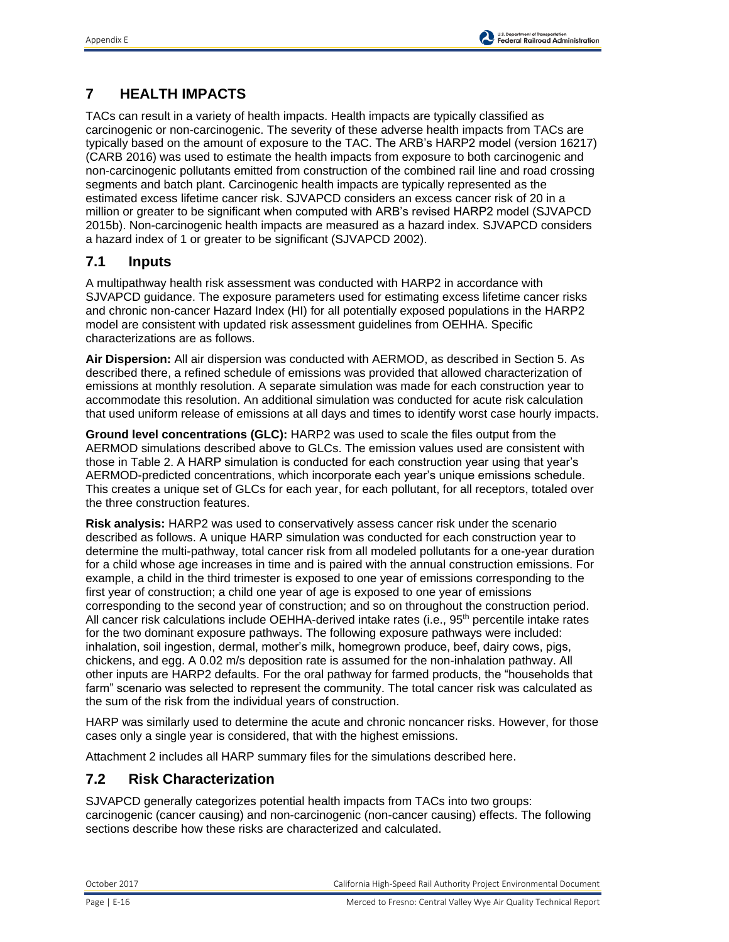

# **7 HEALTH IMPACTS**

TACs can result in a variety of health impacts. Health impacts are typically classified as carcinogenic or non-carcinogenic. The severity of these adverse health impacts from TACs are typically based on the amount of exposure to the TAC. The ARB's HARP2 model (version 16217) (CARB 2016) was used to estimate the health impacts from exposure to both carcinogenic and non-carcinogenic pollutants emitted from construction of the combined rail line and road crossing segments and batch plant. Carcinogenic health impacts are typically represented as the estimated excess lifetime cancer risk. SJVAPCD considers an excess cancer risk of 20 in a million or greater to be significant when computed with ARB's revised HARP2 model (SJVAPCD 2015b). Non-carcinogenic health impacts are measured as a hazard index. SJVAPCD considers a hazard index of 1 or greater to be significant (SJVAPCD 2002).

## **7.1 Inputs**

A multipathway health risk assessment was conducted with HARP2 in accordance with SJVAPCD guidance. The exposure parameters used for estimating excess lifetime cancer risks and chronic non-cancer Hazard Index (HI) for all potentially exposed populations in the HARP2 model are consistent with updated risk assessment guidelines from OEHHA. Specific characterizations are as follows.

**Air Dispersion:** All air dispersion was conducted with AERMOD, as described in Section 5. As described there, a refined schedule of emissions was provided that allowed characterization of emissions at monthly resolution. A separate simulation was made for each construction year to accommodate this resolution. An additional simulation was conducted for acute risk calculation that used uniform release of emissions at all days and times to identify worst case hourly impacts.

**Ground level concentrations (GLC):** HARP2 was used to scale the files output from the AERMOD simulations described above to GLCs. The emission values used are consistent with those in Table 2. A HARP simulation is conducted for each construction year using that year's AERMOD-predicted concentrations, which incorporate each year's unique emissions schedule. This creates a unique set of GLCs for each year, for each pollutant, for all receptors, totaled over the three construction features.

**Risk analysis:** HARP2 was used to conservatively assess cancer risk under the scenario described as follows. A unique HARP simulation was conducted for each construction year to determine the multi-pathway, total cancer risk from all modeled pollutants for a one-year duration for a child whose age increases in time and is paired with the annual construction emissions. For example, a child in the third trimester is exposed to one year of emissions corresponding to the first year of construction; a child one year of age is exposed to one year of emissions corresponding to the second year of construction; and so on throughout the construction period. All cancer risk calculations include OEHHA-derived intake rates (i.e., 95<sup>th</sup> percentile intake rates for the two dominant exposure pathways. The following exposure pathways were included: inhalation, soil ingestion, dermal, mother's milk, homegrown produce, beef, dairy cows, pigs, chickens, and egg. A 0.02 m/s deposition rate is assumed for the non-inhalation pathway. All other inputs are HARP2 defaults. For the oral pathway for farmed products, the "households that farm" scenario was selected to represent the community. The total cancer risk was calculated as the sum of the risk from the individual years of construction.

HARP was similarly used to determine the acute and chronic noncancer risks. However, for those cases only a single year is considered, that with the highest emissions.

Attachment 2 includes all HARP summary files for the simulations described here.

## **7.2 Risk Characterization**

SJVAPCD generally categorizes potential health impacts from TACs into two groups: carcinogenic (cancer causing) and non-carcinogenic (non-cancer causing) effects. The following sections describe how these risks are characterized and calculated.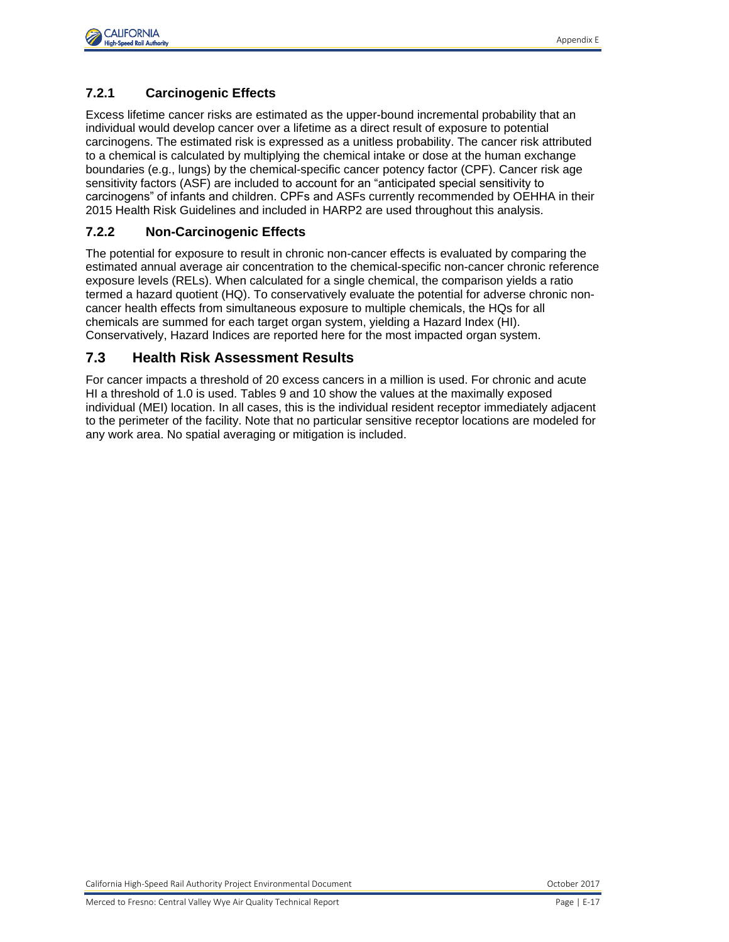

### **7.2.1 Carcinogenic Effects**

Excess lifetime cancer risks are estimated as the upper-bound incremental probability that an individual would develop cancer over a lifetime as a direct result of exposure to potential carcinogens. The estimated risk is expressed as a unitless probability. The cancer risk attributed to a chemical is calculated by multiplying the chemical intake or dose at the human exchange boundaries (e.g., lungs) by the chemical-specific cancer potency factor (CPF). Cancer risk age sensitivity factors (ASF) are included to account for an "anticipated special sensitivity to carcinogens" of infants and children. CPFs and ASFs currently recommended by OEHHA in their 2015 Health Risk Guidelines and included in HARP2 are used throughout this analysis.

### **7.2.2 Non-Carcinogenic Effects**

The potential for exposure to result in chronic non-cancer effects is evaluated by comparing the estimated annual average air concentration to the chemical-specific non-cancer chronic reference exposure levels (RELs). When calculated for a single chemical, the comparison yields a ratio termed a hazard quotient (HQ). To conservatively evaluate the potential for adverse chronic noncancer health effects from simultaneous exposure to multiple chemicals, the HQs for all chemicals are summed for each target organ system, yielding a Hazard Index (HI). Conservatively, Hazard Indices are reported here for the most impacted organ system.

### **7.3 Health Risk Assessment Results**

For cancer impacts a threshold of 20 excess cancers in a million is used. For chronic and acute HI a threshold of 1.0 is used. Tables 9 and 10 show the values at the maximally exposed individual (MEI) location. In all cases, this is the individual resident receptor immediately adjacent to the perimeter of the facility. Note that no particular sensitive receptor locations are modeled for any work area. No spatial averaging or mitigation is included.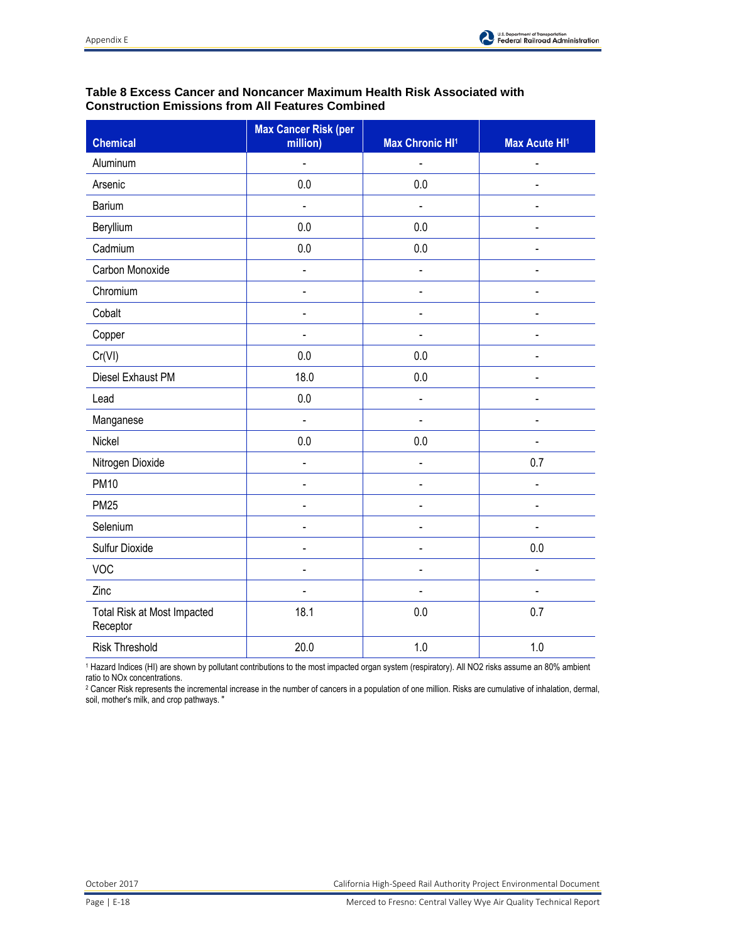

### **Table 8 Excess Cancer and Noncancer Maximum Health Risk Associated with Construction Emissions from All Features Combined**

| <b>Chemical</b>                         | <b>Max Cancer Risk (per</b><br>million) | <b>Max Chronic HI1</b> | Max Acute HI <sup>1</sup> |
|-----------------------------------------|-----------------------------------------|------------------------|---------------------------|
| Aluminum                                | $\blacksquare$                          | $\blacksquare$         | $\blacksquare$            |
| Arsenic                                 | 0.0                                     | 0.0                    | ä,                        |
| Barium                                  | $\blacksquare$                          | ä,                     | ÷                         |
| Beryllium                               | 0.0                                     | 0.0                    | L.                        |
| Cadmium                                 | 0.0                                     | 0.0                    | ÷,                        |
| Carbon Monoxide                         | $\blacksquare$                          | $\frac{1}{2}$          | L.                        |
| Chromium                                | $\blacksquare$                          | $\blacksquare$         | L.                        |
| Cobalt                                  | $\blacksquare$                          | $\overline{a}$         |                           |
| Copper                                  |                                         |                        |                           |
| Cr(VI)                                  | 0.0                                     | 0.0                    |                           |
| Diesel Exhaust PM                       | 18.0                                    | 0.0                    |                           |
| Lead                                    | 0.0                                     | $\blacksquare$         | L.                        |
| Manganese                               | L.                                      | ÷,                     | $\blacksquare$            |
| Nickel                                  | 0.0                                     | 0.0                    | $\blacksquare$            |
| Nitrogen Dioxide                        | $\frac{1}{2}$                           | $\blacksquare$         | 0.7                       |
| <b>PM10</b>                             | $\blacksquare$                          | $\blacksquare$         | $\blacksquare$            |
| <b>PM25</b>                             | $\qquad \qquad \blacksquare$            | $\blacksquare$         | $\blacksquare$            |
| Selenium                                | $\blacksquare$                          | $\blacksquare$         | $\frac{1}{2}$             |
| Sulfur Dioxide                          | $\blacksquare$                          | $\blacksquare$         | 0.0                       |
| <b>VOC</b>                              | $\blacksquare$                          | $\frac{1}{2}$          | $\blacksquare$            |
| Zinc                                    | ä,                                      | $\blacksquare$         | L,                        |
| Total Risk at Most Impacted<br>Receptor | 18.1                                    | 0.0                    | 0.7                       |
| <b>Risk Threshold</b>                   | 20.0                                    | 1.0                    | 1.0                       |

<sup>1</sup> Hazard Indices (HI) are shown by pollutant contributions to the most impacted organ system (respiratory). All NO2 risks assume an 80% ambient ratio to NOx concentrations.

<sup>2</sup> Cancer Risk represents the incremental increase in the number of cancers in a population of one million. Risks are cumulative of inhalation, dermal, soil, mother's milk, and crop pathways. "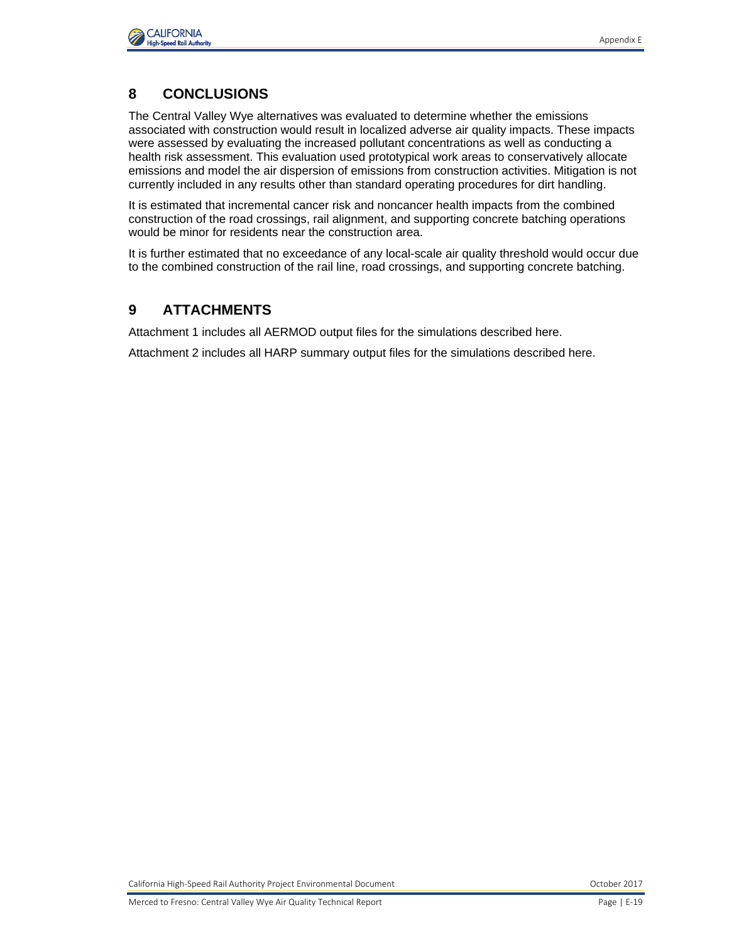

## **8 CONCLUSIONS**

The Central Valley Wye alternatives was evaluated to determine whether the emissions associated with construction would result in localized adverse air quality impacts. These impacts were assessed by evaluating the increased pollutant concentrations as well as conducting a health risk assessment. This evaluation used prototypical work areas to conservatively allocate emissions and model the air dispersion of emissions from construction activities. Mitigation is not currently included in any results other than standard operating procedures for dirt handling.

It is estimated that incremental cancer risk and noncancer health impacts from the combined construction of the road crossings, rail alignment, and supporting concrete batching operations would be minor for residents near the construction area.

It is further estimated that no exceedance of any local-scale air quality threshold would occur due to the combined construction of the rail line, road crossings, and supporting concrete batching.

## **9 ATTACHMENTS**

Attachment 1 includes all AERMOD output files for the simulations described here.

Attachment 2 includes all HARP summary output files for the simulations described here.